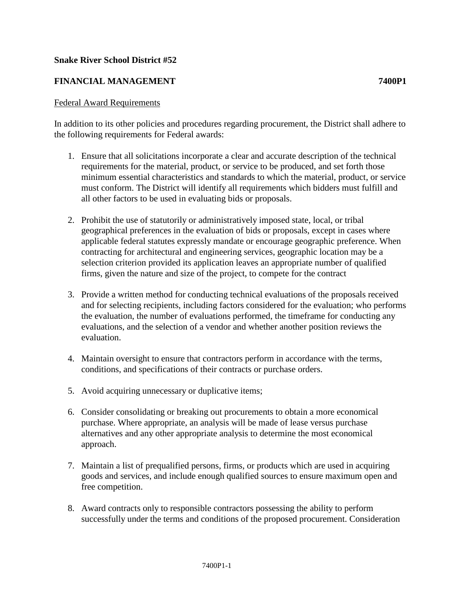## **Snake River School District #52**

## **FINANCIAL MANAGEMENT 7400P1**

## Federal Award Requirements

In addition to its other policies and procedures regarding procurement, the District shall adhere to the following requirements for Federal awards:

- 1. Ensure that all solicitations incorporate a clear and accurate description of the technical requirements for the material, product, or service to be produced, and set forth those minimum essential characteristics and standards to which the material, product, or service must conform. The District will identify all requirements which bidders must fulfill and all other factors to be used in evaluating bids or proposals.
- 2. Prohibit the use of statutorily or administratively imposed state, local, or tribal geographical preferences in the evaluation of bids or proposals, except in cases where applicable federal statutes expressly mandate or encourage geographic preference. When contracting for architectural and engineering services, geographic location may be a selection criterion provided its application leaves an appropriate number of qualified firms, given the nature and size of the project, to compete for the contract
- 3. Provide a written method for conducting technical evaluations of the proposals received and for selecting recipients, including factors considered for the evaluation; who performs the evaluation, the number of evaluations performed, the timeframe for conducting any evaluations, and the selection of a vendor and whether another position reviews the evaluation.
- 4. Maintain oversight to ensure that contractors perform in accordance with the terms, conditions, and specifications of their contracts or purchase orders.
- 5. Avoid acquiring unnecessary or duplicative items;
- 6. Consider consolidating or breaking out procurements to obtain a more economical purchase. Where appropriate, an analysis will be made of lease versus purchase alternatives and any other appropriate analysis to determine the most economical approach.
- 7. Maintain a list of prequalified persons, firms, or products which are used in acquiring goods and services, and include enough qualified sources to ensure maximum open and free competition.
- 8. Award contracts only to responsible contractors possessing the ability to perform successfully under the terms and conditions of the proposed procurement. Consideration